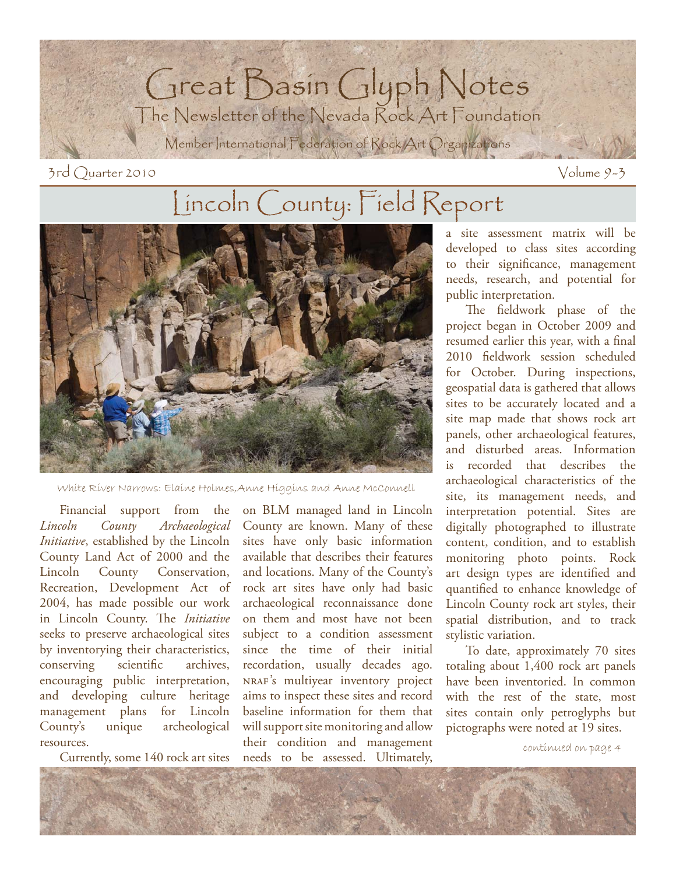

 $3rd$  Quarter 2010 Volume 9-3

## Lincoln County: Field Report



White River Narrows: Elaine Holmes,Anne Higgins and Anne McConnell

Financial support from the *Lincoln County Archaeological Initiative*, established by the Lincoln County Land Act of 2000 and the Lincoln County Conservation, Recreation, Development Act of 2004, has made possible our work in Lincoln County. The *Initiative* seeks to preserve archaeological sites by inventorying their characteristics, conserving scientific archives, encouraging public interpretation, and developing culture heritage management plans for Lincoln County's unique archeological resources.

Currently, some 140 rock art sites

on BLM managed land in Lincoln County are known. Many of these sites have only basic information available that describes their features and locations. Many of the County's rock art sites have only had basic archaeological reconnaissance done on them and most have not been subject to a condition assessment since the time of their initial recordation, usually decades ago. nraf's multiyear inventory project aims to inspect these sites and record baseline information for them that will support site monitoring and allow their condition and management needs to be assessed. Ultimately,

a site assessment matrix will be developed to class sites according to their significance, management needs, research, and potential for public interpretation.

The fieldwork phase of the project began in October 2009 and resumed earlier this year, with a final 2010 fieldwork session scheduled for October. During inspections, geospatial data is gathered that allows sites to be accurately located and a site map made that shows rock art panels, other archaeological features, and disturbed areas. Information is recorded that describes the archaeological characteristics of the site, its management needs, and interpretation potential. Sites are digitally photographed to illustrate content, condition, and to establish monitoring photo points. Rock art design types are identified and quantified to enhance knowledge of Lincoln County rock art styles, their spatial distribution, and to track stylistic variation.

To date, approximately 70 sites totaling about 1,400 rock art panels have been inventoried. In common with the rest of the state, most sites contain only petroglyphs but pictographs were noted at 19 sites.

continued on page 4

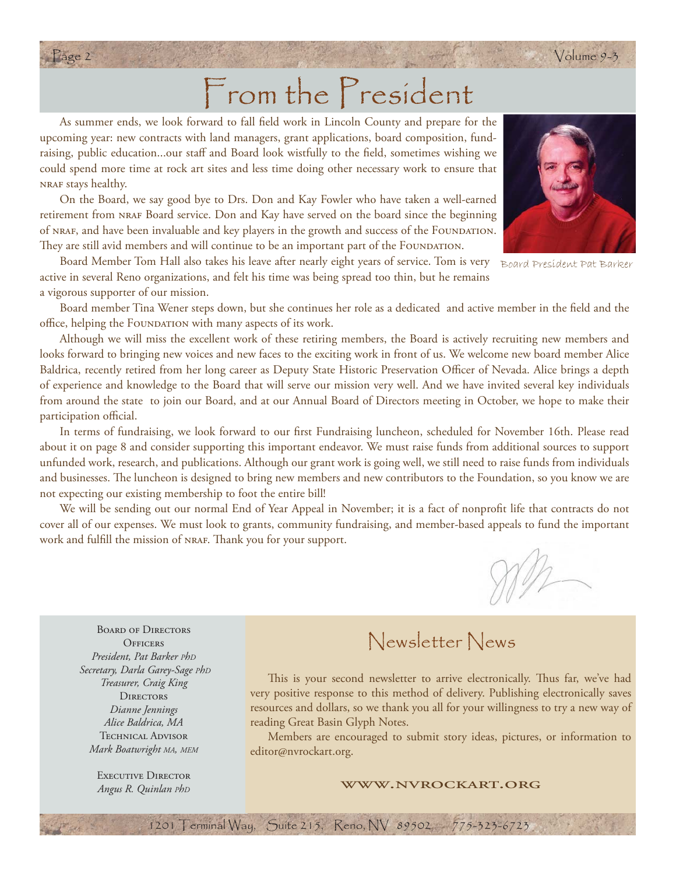# From the President

Page 2 Volume 9-3

As summer ends, we look forward to fall field work in Lincoln County and prepare for the upcoming year: new contracts with land managers, grant applications, board composition, fundraising, public education...our staff and Board look wistfully to the field, sometimes wishing we could spend more time at rock art sites and less time doing other necessary work to ensure that nraf stays healthy.

On the Board, we say good bye to Drs. Don and Kay Fowler who have taken a well-earned retirement from nraf Board service. Don and Kay have served on the board since the beginning of NRAF, and have been invaluable and key players in the growth and success of the FOUNDATION. They are still avid members and will continue to be an important part of the FOUNDATION.

Board Member Tom Hall also takes his leave after nearly eight years of service. Tom is very Board President Pat Barkeractive in several Reno organizations, and felt his time was being spread too thin, but he remains a vigorous supporter of our mission.

Board member Tina Wener steps down, but she continues her role as a dedicated and active member in the field and the office, helping the FOUNDATION with many aspects of its work.

Although we will miss the excellent work of these retiring members, the Board is actively recruiting new members and looks forward to bringing new voices and new faces to the exciting work in front of us. We welcome new board member Alice Baldrica, recently retired from her long career as Deputy State Historic Preservation Officer of Nevada. Alice brings a depth of experience and knowledge to the Board that will serve our mission very well. And we have invited several key individuals from around the state to join our Board, and at our Annual Board of Directors meeting in October, we hope to make their participation official.

In terms of fundraising, we look forward to our first Fundraising luncheon, scheduled for November 16th. Please read about it on page 8 and consider supporting this important endeavor. We must raise funds from additional sources to support unfunded work, research, and publications. Although our grant work is going well, we still need to raise funds from individuals and businesses. The luncheon is designed to bring new members and new contributors to the Foundation, so you know we are not expecting our existing membership to foot the entire bill!

We will be sending out our normal End of Year Appeal in November; it is a fact of nonprofit life that contracts do not cover all of our expenses. We must look to grants, community fundraising, and member-based appeals to fund the important work and fulfill the mission of NRAF. Thank you for your support.

1201 Terminal Way, Suite 215, Reno, NV 89502 775-323-6723

Board of Directors **OFFICERS** *President, Pat Barker PhD Secretary, Darla Garey-Sage PhD Treasurer, Craig King* **DIRECTORS** *Dianne Jennings Alice Baldrica, MA* Technical Advisor *Mark Boatwright MA, MEM*

> EXECUTIVE DIRECTOR *Angus R. Quinlan PhD*

### Newsletter News

This is your second newsletter to arrive electronically. Thus far, we've had very positive response to this method of delivery. Publishing electronically saves resources and dollars, so we thank you all for your willingness to try a new way of reading Great Basin Glyph Notes.

 Members are encouraged to submit story ideas, pictures, or information to editor@nvrockart.org.

#### www.nvrockart.org



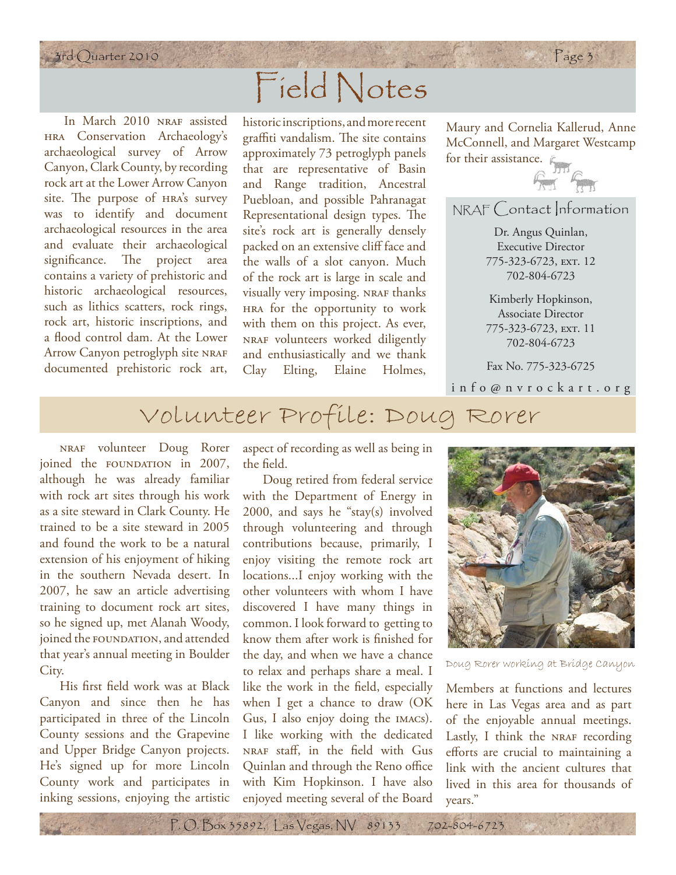## 3rd Quarter 2010 Page 3 Field Notes

In March 2010 NRAF assisted hra Conservation Archaeology's archaeological survey of Arrow Canyon, Clark County, by recording rock art at the Lower Arrow Canyon site. The purpose of HRA's survey was to identify and document archaeological resources in the area and evaluate their archaeological significance. The project area contains a variety of prehistoric and historic archaeological resources, such as lithics scatters, rock rings, rock art, historic inscriptions, and a flood control dam. At the Lower Arrow Canyon petroglyph site NRAF documented prehistoric rock art,

historic inscriptions, and more recent graffiti vandalism. The site contains approximately 73 petroglyph panels that are representative of Basin and Range tradition, Ancestral Puebloan, and possible Pahranagat Representational design types. The site's rock art is generally densely packed on an extensive cliff face and the walls of a slot canyon. Much of the rock art is large in scale and visually very imposing. NRAF thanks hra for the opportunity to work with them on this project. As ever, nraf volunteers worked diligently and enthusiastically and we thank Clay Elting, Elaine Holmes,

Maury and Cornelia Kallerud, Anne McConnell, and Margaret Westcamp for their assistance.  $\mathcal{E}_{\text{max}}$ 



NRAF Contact Information

Dr. Angus Quinlan, Executive Director 775-323-6723, ext. 12 702-804-6723

Kimberly Hopkinson, Associate Director 775-323-6723, ext. 11 702-804-6723

Fax No. 775-323-6725

info@nvrockart.org

### Volunteer Profile: Doug Rorer

nraf volunteer Doug Rorer joined the FOUNDATION in 2007, although he was already familiar with rock art sites through his work as a site steward in Clark County. He trained to be a site steward in 2005 and found the work to be a natural extension of his enjoyment of hiking in the southern Nevada desert. In 2007, he saw an article advertising training to document rock art sites, so he signed up, met Alanah Woody, joined the FOUNDATION, and attended that year's annual meeting in Boulder City.

His first field work was at Black Canyon and since then he has participated in three of the Lincoln County sessions and the Grapevine and Upper Bridge Canyon projects. He's signed up for more Lincoln County work and participates in inking sessions, enjoying the artistic

aspect of recording as well as being in the field.

Doug retired from federal service with the Department of Energy in 2000, and says he "stay(s) involved through volunteering and through contributions because, primarily, I enjoy visiting the remote rock art locations...I enjoy working with the other volunteers with whom I have discovered I have many things in common. I look forward to getting to know them after work is finished for the day, and when we have a chance to relax and perhaps share a meal. I like the work in the field, especially when I get a chance to draw (OK Gus, I also enjoy doing the imacs). I like working with the dedicated NRAF staff, in the field with Gus Quinlan and through the Reno office with Kim Hopkinson. I have also enjoyed meeting several of the Board



Doug Rorer working at Bridge Canyon

Members at functions and lectures here in Las Vegas area and as part of the enjoyable annual meetings. Lastly, I think the NRAF recording efforts are crucial to maintaining a link with the ancient cultures that lived in this area for thousands of years."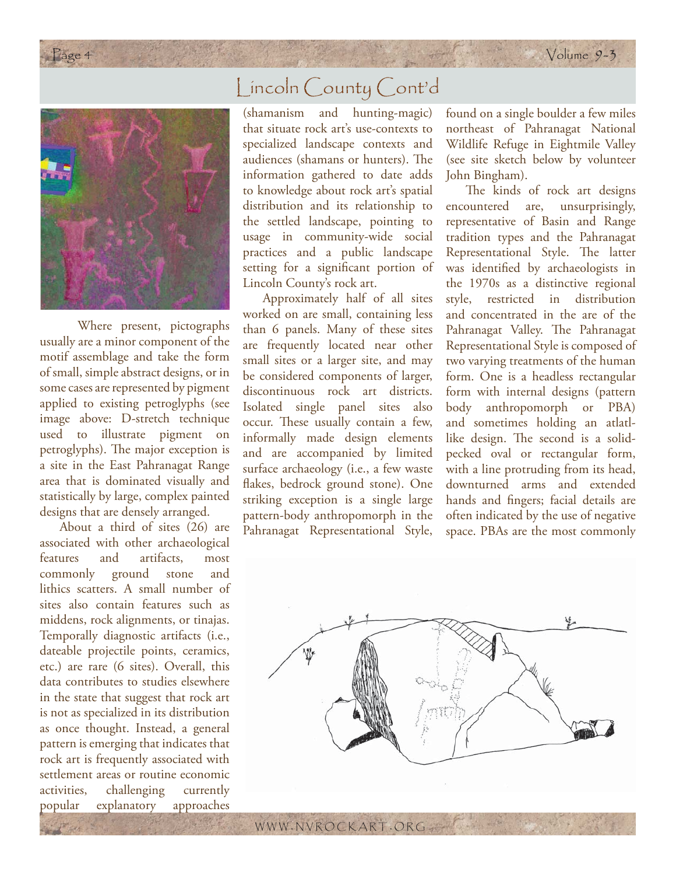

 Where present, pictographs usually are a minor component of the motif assemblage and take the form of small, simple abstract designs, or in some cases are represented by pigment applied to existing petroglyphs (see image above: D-stretch technique used to illustrate pigment on petroglyphs). The major exception is a site in the East Pahranagat Range area that is dominated visually and statistically by large, complex painted designs that are densely arranged.

About a third of sites (26) are associated with other archaeological features and artifacts, most commonly ground stone and lithics scatters. A small number of sites also contain features such as middens, rock alignments, or tinajas. Temporally diagnostic artifacts (i.e., dateable projectile points, ceramics, etc.) are rare (6 sites). Overall, this data contributes to studies elsewhere in the state that suggest that rock art is not as specialized in its distribution as once thought. Instead, a general pattern is emerging that indicates that rock art is frequently associated with settlement areas or routine economic activities, challenging currently popular explanatory approaches

#### Lincoln County Cont'd

(shamanism and hunting-magic) that situate rock art's use-contexts to specialized landscape contexts and audiences (shamans or hunters). The information gathered to date adds to knowledge about rock art's spatial distribution and its relationship to the settled landscape, pointing to usage in community-wide social practices and a public landscape setting for a significant portion of Lincoln County's rock art.

Approximately half of all sites worked on are small, containing less than 6 panels. Many of these sites are frequently located near other small sites or a larger site, and may be considered components of larger, discontinuous rock art districts. Isolated single panel sites also occur. These usually contain a few, informally made design elements and are accompanied by limited surface archaeology (i.e., a few waste flakes, bedrock ground stone). One striking exception is a single large pattern-body anthropomorph in the Pahranagat Representational Style,

found on a single boulder a few miles northeast of Pahranagat National Wildlife Refuge in Eightmile Valley (see site sketch below by volunteer John Bingham).

The kinds of rock art designs encountered are, unsurprisingly, representative of Basin and Range tradition types and the Pahranagat Representational Style. The latter was identified by archaeologists in the 1970s as a distinctive regional style, restricted in distribution and concentrated in the are of the Pahranagat Valley. The Pahranagat Representational Style is composed of two varying treatments of the human form. One is a headless rectangular form with internal designs (pattern body anthropomorph or PBA) and sometimes holding an atlatllike design. The second is a solidpecked oval or rectangular form, with a line protruding from its head, downturned arms and extended hands and fingers; facial details are often indicated by the use of negative space. PBAs are the most commonly

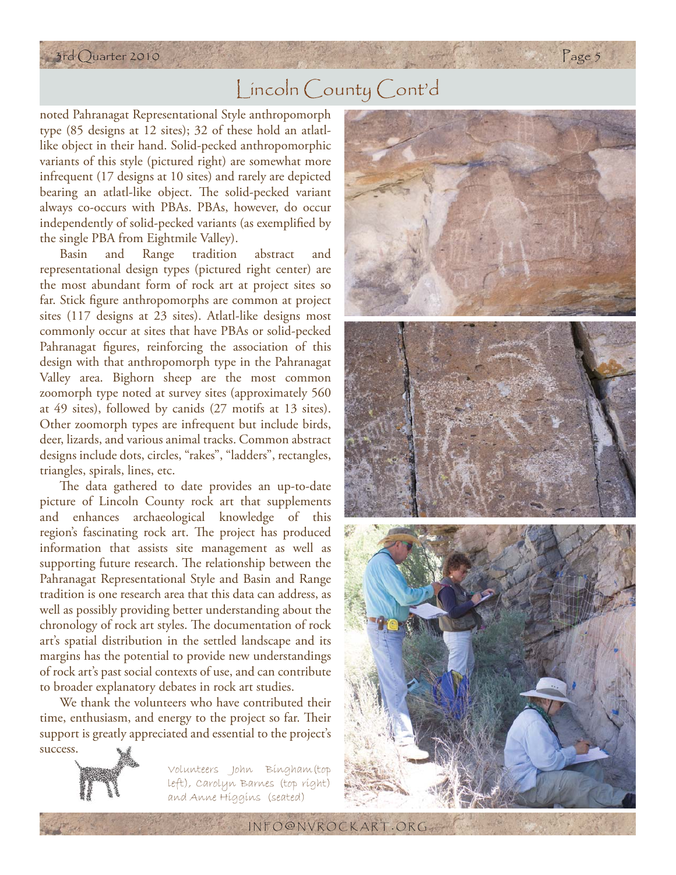#### 3rd Quarter 2010 Page 5

#### Lincoln County Cont'd

noted Pahranagat Representational Style anthropomorph type (85 designs at 12 sites); 32 of these hold an atlatllike object in their hand. Solid-pecked anthropomorphic variants of this style (pictured right) are somewhat more infrequent (17 designs at 10 sites) and rarely are depicted bearing an atlatl-like object. The solid-pecked variant always co-occurs with PBAs. PBAs, however, do occur independently of solid-pecked variants (as exemplified by the single PBA from Eightmile Valley).

Basin and Range tradition abstract and representational design types (pictured right center) are the most abundant form of rock art at project sites so far. Stick figure anthropomorphs are common at project sites (117 designs at 23 sites). Atlatl-like designs most commonly occur at sites that have PBAs or solid-pecked Pahranagat figures, reinforcing the association of this design with that anthropomorph type in the Pahranagat Valley area. Bighorn sheep are the most common zoomorph type noted at survey sites (approximately 560 at 49 sites), followed by canids (27 motifs at 13 sites). Other zoomorph types are infrequent but include birds, deer, lizards, and various animal tracks. Common abstract designs include dots, circles, "rakes", "ladders", rectangles, triangles, spirals, lines, etc.

The data gathered to date provides an up-to-date picture of Lincoln County rock art that supplements and enhances archaeological knowledge of this region's fascinating rock art. The project has produced information that assists site management as well as supporting future research. The relationship between the Pahranagat Representational Style and Basin and Range tradition is one research area that this data can address, as well as possibly providing better understanding about the chronology of rock art styles. The documentation of rock art's spatial distribution in the settled landscape and its margins has the potential to provide new understandings of rock art's past social contexts of use, and can contribute to broader explanatory debates in rock art studies.

We thank the volunteers who have contributed their time, enthusiasm, and energy to the project so far. Their support is greatly appreciated and essential to the project's



Volunteers John Bingham(top left), Carolyn Barnes (top right) and Anne Higgins (seated)



INFO @ NVROCKART . ORG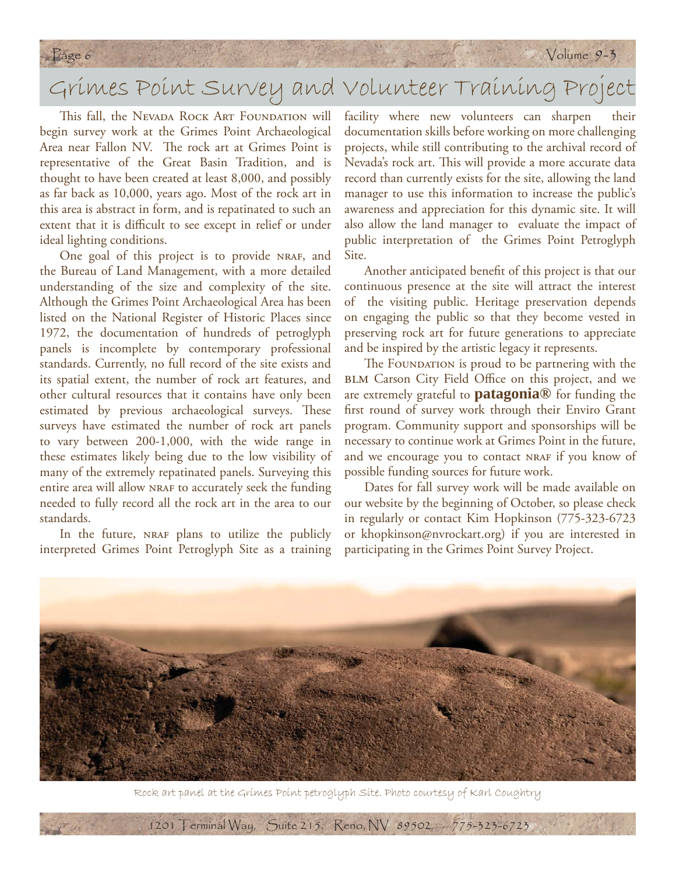## Grimes Point Survey and Volunteer Training Project

This fall, the Nevada Rock Art Foundation will begin survey work at the Grimes Point Archaeological Area near Fallon NV. The rock art at Grimes Point is representative of the Great Basin Tradition, and is thought to have been created at least 8,000, and possibly as far back as 10,000, years ago. Most of the rock art in this area is abstract in form, and is repatinated to such an extent that it is difficult to see except in relief or under ideal lighting conditions.

One goal of this project is to provide NRAF, and the Bureau of Land Management, with a more detailed understanding of the size and complexity of the site. Although the Grimes Point Archaeological Area has been listed on the National Register of Historic Places since 1972, the documentation of hundreds of petroglyph panels is incomplete by contemporary professional standards. Currently, no full record of the site exists and its spatial extent, the number of rock art features, and other cultural resources that it contains have only been estimated by previous archaeological surveys. These surveys have estimated the number of rock art panels to vary between 200-1,000, with the wide range in these estimates likely being due to the low visibility of many of the extremely repatinated panels. Surveying this entire area will allow NRAF to accurately seek the funding needed to fully record all the rock art in the area to our standards.

In the future, NRAF plans to utilize the publicly interpreted Grimes Point Petroglyph Site as a training

facility where new volunteers can sharpen their documentation skills before working on more challenging projects, while still contributing to the archival record of Nevada's rock art. This will provide a more accurate data record than currently exists for the site, allowing the land manager to use this information to increase the public's awareness and appreciation for this dynamic site. It will also allow the land manager to evaluate the impact of public interpretation of the Grimes Point Petroglyph Site.

Another anticipated benefit of this project is that our continuous presence at the site will attract the interest of the visiting public. Heritage preservation depends on engaging the public so that they become vested in preserving rock art for future generations to appreciate and be inspired by the artistic legacy it represents.

The FOUNDATION is proud to be partnering with the BLM Carson City Field Office on this project, and we are extremely grateful to **patagonia®** for funding the first round of survey work through their Enviro Grant program. Community support and sponsorships will be necessary to continue work at Grimes Point in the future, and we encourage you to contact NRAF if you know of possible funding sources for future work.

Dates for fall survey work will be made available on our website by the beginning of October, so please check in regularly or contact Kim Hopkinson (775-323-6723 or khopkinson@nvrockart.org) if you are interested in participating in the Grimes Point Survey Project.



Rock art panel at the Grimes Point petroglyph Site. Photo courtesy of Karl Coughtry

1201 Terminal Way, Suite 215, Reno, NV 89502 775-323-6723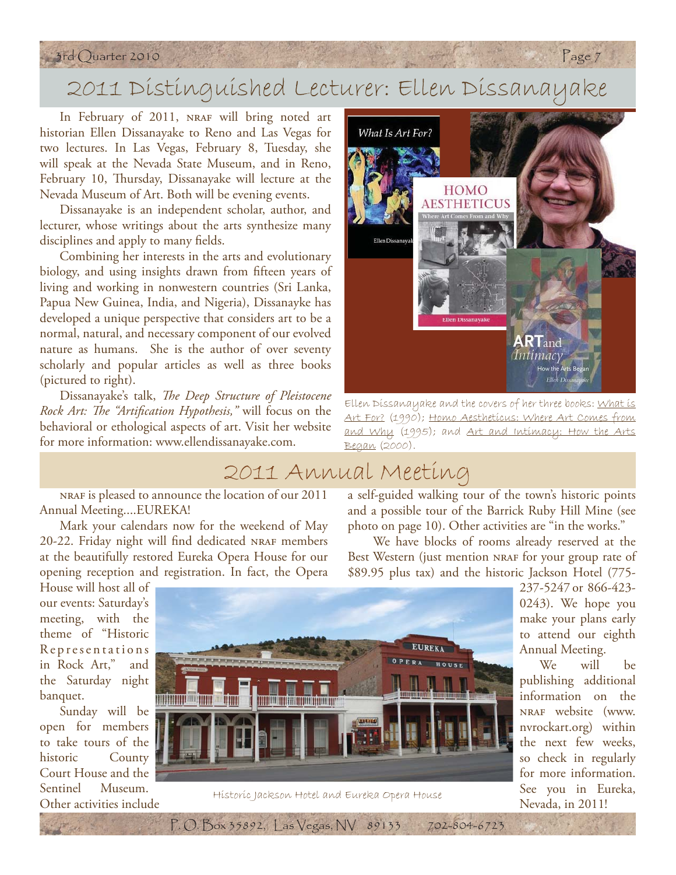#### 3rd Quarter 2010 Page 7

## 2011 Distinguished Lecturer: Ellen Dissanayake

In February of 2011, NRAF will bring noted art historian Ellen Dissanayake to Reno and Las Vegas for two lectures. In Las Vegas, February 8, Tuesday, she will speak at the Nevada State Museum, and in Reno, February 10, Thursday, Dissanayake will lecture at the Nevada Museum of Art. Both will be evening events.

Dissanayake is an independent scholar, author, and lecturer, whose writings about the arts synthesize many disciplines and apply to many fields.

Combining her interests in the arts and evolutionary biology, and using insights drawn from fifteen years of living and working in nonwestern countries (Sri Lanka, Papua New Guinea, India, and Nigeria), Dissanayke has developed a unique perspective that considers art to be a normal, natural, and necessary component of our evolved nature as humans. She is the author of over seventy scholarly and popular articles as well as three books (pictured to right).

Dissanayake's talk, *The Deep Structure of Pleistocene Rock Art: The "Artification Hypothesis,"* will focus on the behavioral or ethological aspects of art. Visit her website for more information: www.ellendissanayake.com.



Ellen Dissanayake and the covers of her three books: What is Art For? (1990); Homo Aestheticus: Where Art Comes from and Why (1995); and Art and Intimacy: How the Arts Began (2000).

#### 2011 Annual Meeting

nraf is pleased to announce the location of our 2011 Annual Meeting....EUREKA!

Mark your calendars now for the weekend of May 20-22. Friday night will find dedicated NRAF members at the beautifully restored Eureka Opera House for our opening reception and registration. In fact, the Opera

a self-guided walking tour of the town's historic points and a possible tour of the Barrick Ruby Hill Mine (see photo on page 10). Other activities are "in the works."

 We have blocks of rooms already reserved at the Best Western (just mention NRAF for your group rate of \$89.95 plus tax) and the historic Jackson Hotel (775-

House will host all of our events: Saturday's meeting, with the theme of "Historic Representations in Rock Art," and the Saturday night banquet.

Sunday will be open for members to take tours of the historic County Court House and the Sentinel Museum.



Sentiner Museum.<br>Other activities include historic Jackson Hotel and Eureka Opera House

P. O. Box 35892, Las Vegas, NV 89133 702-804-6723

237-5247 or 866-423- 0243). We hope you make your plans early to attend our eighth Annual Meeting.

We will be publishing additional information on the nraf website (www. nvrockart.org) within the next few weeks, so check in regularly for more information. See you in Eureka, Nevada, in 2011!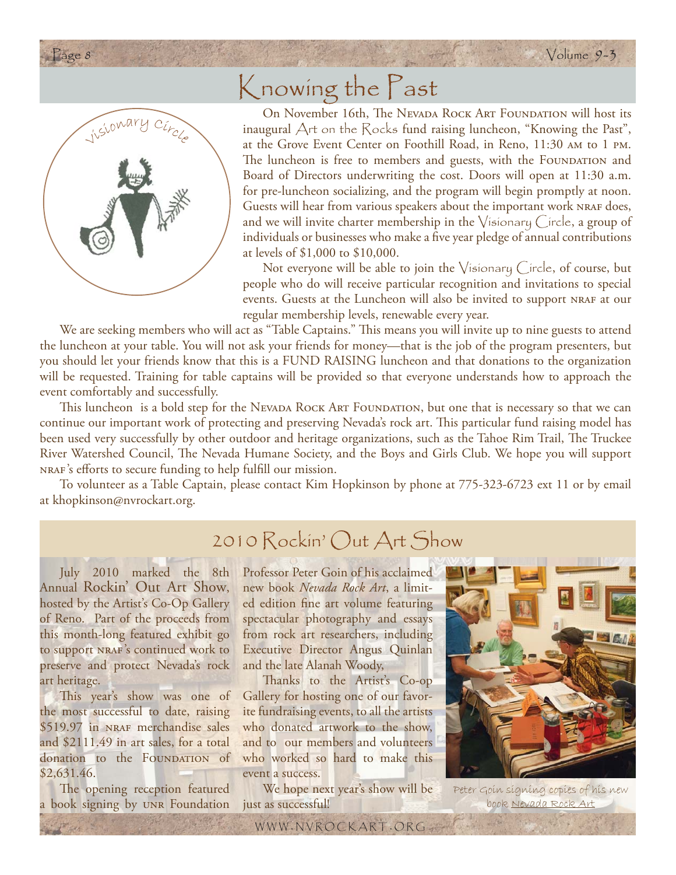

## Knowing the Past

On November 16th, The Nevada Rock Art Foundation will host its inaugural Art on the Rocks fund raising luncheon, "Knowing the Past", at the Grove Event Center on Foothill Road, in Reno, 11:30 am to 1 pm. The luncheon is free to members and guests, with the FOUNDATION and Board of Directors underwriting the cost. Doors will open at 11:30 a.m. for pre-luncheon socializing, and the program will begin promptly at noon. Guests will hear from various speakers about the important work NRAF does, and we will invite charter membership in the Visionary Circle, a group of individuals or businesses who make a five year pledge of annual contributions at levels of \$1,000 to \$10,000.

Not everyone will be able to join the  $\sqrt{\mathfrak{s}}$  is onary (free, of course, but people who do will receive particular recognition and invitations to special events. Guests at the Luncheon will also be invited to support nraf at our regular membership levels, renewable every year.

We are seeking members who will act as "Table Captains." This means you will invite up to nine guests to attend the luncheon at your table. You will not ask your friends for money—that is the job of the program presenters, but you should let your friends know that this is a FUND RAISING luncheon and that donations to the organization will be requested. Training for table captains will be provided so that everyone understands how to approach the event comfortably and successfully.

This luncheon is a bold step for the NEVADA ROCK ART FOUNDATION, but one that is necessary so that we can continue our important work of protecting and preserving Nevada's rock art. This particular fund raising model has been used very successfully by other outdoor and heritage organizations, such as the Tahoe Rim Trail, The Truckee River Watershed Council, The Nevada Humane Society, and the Boys and Girls Club. We hope you will support NRAF's efforts to secure funding to help fulfill our mission.

To volunteer as a Table Captain, please contact Kim Hopkinson by phone at 775-323-6723 ext 11 or by email at khopkinson@nvrockart.org.

#### 2010 Rockin' Out Art Show

July 2010 marked the 8th Annual Rockin' Out Art Show, hosted by the Artist's Co-Op Gallery of Reno. Part of the proceeds from this month-long featured exhibit go to support NRAF's continued work to preserve and protect Nevada's rock art heritage.

This year's show was one of the most successful to date, raising \$519.97 in NRAF merchandise sales and \$2111.49 in art sales, for a total donation to the FOUNDATION of \$2,631.46.

The opening reception featured a book signing by unr Foundation Professor Peter Goin of his acclaimed new book *Nevada Rock Art*, a limited edition fine art volume featuring spectacular photography and essays from rock art researchers, including Executive Director Angus Quinlan and the late Alanah Woody,

Thanks to the Artist's Co-op Gallery for hosting one of our favorite fundraising events, to all the artists who donated artwork to the show, and to our members and volunteers who worked so hard to make this event a success.

We hope next year's show will be just as successful!

WWW . NVROCKART . ORG



Peter Goin signing copies of his new book Nevada Rock Art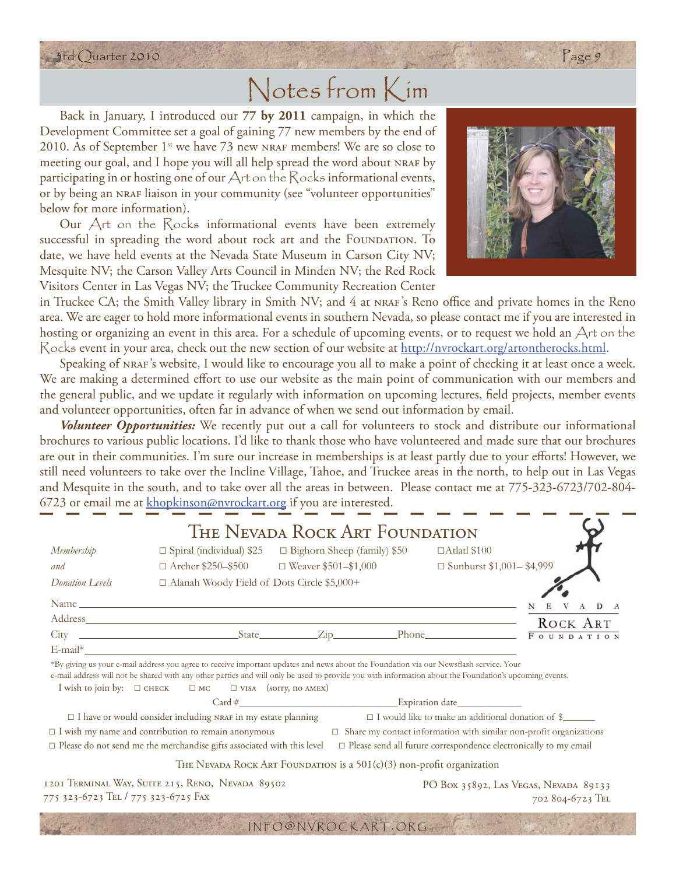## Notes from Kim

Back in January, I introduced our **77 by 2011** campaign, in which the Development Committee set a goal of gaining 77 new members by the end of 2010. As of September  $1^{st}$  we have 73 new NRAF members! We are so close to meeting our goal, and I hope you will all help spread the word about NRAF by participating in or hosting one of our  $\forall$ rt on the  $\forall$ ocks informational events, or by being an NRAF liaison in your community (see "volunteer opportunities" below for more information).

Our Art on the Rocks informational events have been extremely successful in spreading the word about rock art and the FOUNDATION. To date, we have held events at the Nevada State Museum in Carson City NV; Mesquite NV; the Carson Valley Arts Council in Minden NV; the Red Rock Visitors Center in Las Vegas NV; the Truckee Community Recreation Center

in Truckee CA; the Smith Valley library in Smith NV; and 4 at NRAF's Reno office and private homes in the Reno area. We are eager to hold more informational events in southern Nevada, so please contact me if you are interested in hosting or organizing an event in this area. For a schedule of upcoming events, or to request we hold an Art on the Rocks event in your area, check out the new section of our website at http://nvrockart.org/artontherocks.html.

Speaking of nraf's website, I would like to encourage you all to make a point of checking it at least once a week. We are making a determined effort to use our website as the main point of communication with our members and the general public, and we update it regularly with information on upcoming lectures, field projects, member events and volunteer opportunities, often far in advance of when we send out information by email.

*Volunteer Opportunities:* We recently put out a call for volunteers to stock and distribute our informational brochures to various public locations. I'd like to thank those who have volunteered and made sure that our brochures are out in their communities. I'm sure our increase in memberships is at least partly due to your efforts! However, we still need volunteers to take over the Incline Village, Tahoe, and Truckee areas in the north, to help out in Las Vegas and Mesquite in the south, and to take over all the areas in between. Please contact me at 775-323-6723/702-804- 6723 or email me at khopkinson@nvrockart.org if you are interested.

| THE NEVADA ROCK ART FOUNDATION                                                                                                                           |                                                                                                                                                                                                                           |                                    |                                                           |                                                                                                                                                        |  |
|----------------------------------------------------------------------------------------------------------------------------------------------------------|---------------------------------------------------------------------------------------------------------------------------------------------------------------------------------------------------------------------------|------------------------------------|-----------------------------------------------------------|--------------------------------------------------------------------------------------------------------------------------------------------------------|--|
| Membership                                                                                                                                               | $\Box$ Spiral (individual) \$25                                                                                                                                                                                           | $\Box$ Bighorn Sheep (family) \$50 |                                                           | □Atlatl \$100                                                                                                                                          |  |
| and                                                                                                                                                      | $\Box$ Archer \$250-\$500 $\Box$ Weaver \$501-\$1,000                                                                                                                                                                     |                                    |                                                           | □ Sunburst \$1,001- \$4,999                                                                                                                            |  |
| Donation Levels                                                                                                                                          | □ Alanah Woody Field of Dots Circle \$5,000+                                                                                                                                                                              |                                    |                                                           |                                                                                                                                                        |  |
|                                                                                                                                                          |                                                                                                                                                                                                                           |                                    |                                                           |                                                                                                                                                        |  |
|                                                                                                                                                          |                                                                                                                                                                                                                           |                                    |                                                           |                                                                                                                                                        |  |
|                                                                                                                                                          |                                                                                                                                                                                                                           |                                    |                                                           |                                                                                                                                                        |  |
|                                                                                                                                                          | E-mail*                                                                                                                                                                                                                   |                                    |                                                           |                                                                                                                                                        |  |
|                                                                                                                                                          | *By giving us your e-mail address you agree to receive important updates and news about the Foundation via our Newsflash service. Your<br>I wish to join by: $\square$ CHECK $\square$ MC $\square$ VISA (sorry, no AMEX) |                                    |                                                           | e-mail address will not be shared with any other parties and will only be used to provide you with information about the Foundation's upcoming events. |  |
|                                                                                                                                                          |                                                                                                                                                                                                                           |                                    |                                                           |                                                                                                                                                        |  |
| $\Box$ I have or would consider including NRAF in my estate planning<br>$\Box$ I would like to make an additional donation of $\frac{1}{2}$              |                                                                                                                                                                                                                           |                                    |                                                           |                                                                                                                                                        |  |
| $\Box$ I wish my name and contribution to remain anonymous<br>$\Box$ Share my contact information with similar non-profit organizations                  |                                                                                                                                                                                                                           |                                    |                                                           |                                                                                                                                                        |  |
| $\Box$ Please send all future correspondence electronically to my email<br>$\Box$ Please do not send me the merchandise gifts associated with this level |                                                                                                                                                                                                                           |                                    |                                                           |                                                                                                                                                        |  |
| THE NEVADA ROCK ART FOUNDATION is a $501(c)(3)$ non-profit organization                                                                                  |                                                                                                                                                                                                                           |                                    |                                                           |                                                                                                                                                        |  |
| 1201 TERMINAL WAY, SUITE 215, RENO, NEVADA 89502<br>775 323-6723 TEL / 775 323-6725 FAX                                                                  |                                                                                                                                                                                                                           |                                    | PO Box 35892, LAS VEGAS, NEVADA 89133<br>702 804-6723 TEL |                                                                                                                                                        |  |
|                                                                                                                                                          |                                                                                                                                                                                                                           | INFO@NVROCKART.ORG                 |                                                           |                                                                                                                                                        |  |